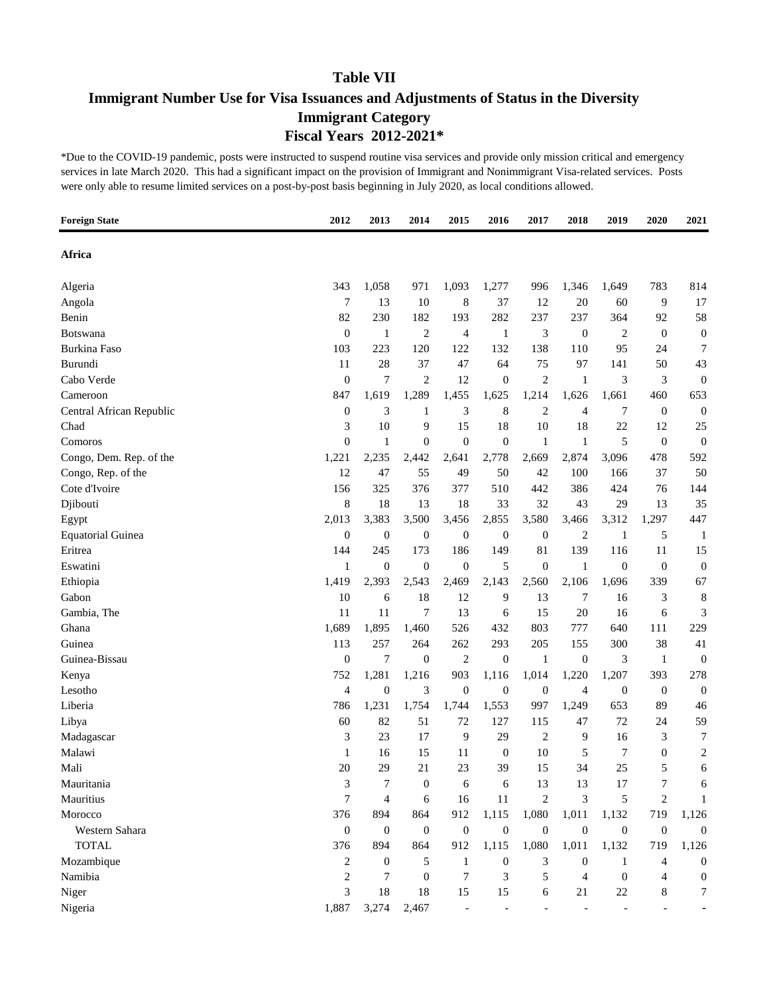# **Immigrant Number Use for Visa Issuances and Adjustments of Status in the Diversity Immigrant Category Fiscal Years 2012-2021\***

| <b>Foreign State</b>     | 2012             | 2013             | 2014             | 2015                     | 2016             | 2017             | 2018                     | 2019             | 2020             | 2021                    |
|--------------------------|------------------|------------------|------------------|--------------------------|------------------|------------------|--------------------------|------------------|------------------|-------------------------|
| Africa                   |                  |                  |                  |                          |                  |                  |                          |                  |                  |                         |
| Algeria                  | 343              | 1,058            | 971              | 1,093                    | 1,277            | 996              | 1,346                    | 1,649            | 783              | 814                     |
| Angola                   | 7                | 13               | 10               | 8                        | 37               | 12               | 20                       | 60               | 9                | 17                      |
| Benin                    | 82               | 230              | 182              | 193                      | 282              | 237              | 237                      | 364              | 92               | 58                      |
| Botswana                 | $\boldsymbol{0}$ | $\mathbf{1}$     | $\overline{c}$   | 4                        | $\mathbf{1}$     | 3                | $\boldsymbol{0}$         | 2                | $\boldsymbol{0}$ | $\boldsymbol{0}$        |
| <b>Burkina Faso</b>      | 103              | 223              | 120              | 122                      | 132              | 138              | 110                      | 95               | 24               | 7                       |
| Burundi                  | 11               | 28               | 37               | 47                       | 64               | 75               | 97                       | 141              | 50               | 43                      |
| Cabo Verde               | $\boldsymbol{0}$ | 7                | $\overline{c}$   | 12                       | $\boldsymbol{0}$ | 2                | $\mathbf{1}$             | 3                | 3                | $\boldsymbol{0}$        |
| Cameroon                 | 847              | 1,619            | 1,289            | 1,455                    | 1,625            | 1,214            | 1,626                    | 1,661            | 460              | 653                     |
| Central African Republic | $\boldsymbol{0}$ | 3                | $\mathbf{1}$     | 3                        | 8                | $\overline{2}$   | $\overline{4}$           | 7                | $\mathbf{0}$     | $\boldsymbol{0}$        |
| Chad                     | 3                | 10               | 9                | 15                       | 18               | 10               | 18                       | 22               | 12               | 25                      |
| Comoros                  | $\boldsymbol{0}$ | $\mathbf{1}$     | $\boldsymbol{0}$ | $\boldsymbol{0}$         | $\boldsymbol{0}$ | 1                | $\mathbf{1}$             | 5                | $\mathbf{0}$     | $\boldsymbol{0}$        |
| Congo, Dem. Rep. of the  | 1,221            | 2,235            | 2,442            | 2,641                    | 2,778            | 2,669            | 2,874                    | 3,096            | 478              | 592                     |
| Congo, Rep. of the       | 12               | 47               | 55               | 49                       | 50               | 42               | 100                      | 166              | 37               | 50                      |
| Cote d'Ivoire            | 156              | 325              | 376              | 377                      | 510              | 442              | 386                      | 424              | 76               | 144                     |
| Djibouti                 | 8                | 18               | 13               | 18                       | 33               | 32               | 43                       | 29               | 13               | 35                      |
| Egypt                    | 2,013            | 3,383            | 3,500            | 3,456                    | 2,855            | 3,580            | 3,466                    | 3,312            | 1,297            | 447                     |
| <b>Equatorial Guinea</b> | $\boldsymbol{0}$ | $\boldsymbol{0}$ | $\boldsymbol{0}$ | $\mathbf{0}$             | $\boldsymbol{0}$ | $\boldsymbol{0}$ | 2                        | 1                | 5                | 1                       |
| Eritrea                  | 144              | 245              | 173              | 186                      | 149              | 81               | 139                      | 116              | 11               | 15                      |
| Eswatini                 | 1                | $\theta$         | $\boldsymbol{0}$ | $\theta$                 | 5                | $\overline{0}$   | $\mathbf{1}$             | $\overline{0}$   | $\boldsymbol{0}$ | $\boldsymbol{0}$        |
| Ethiopia                 | 1,419            | 2,393            | 2,543            | 2,469                    | 2,143            | 2,560            | 2,106                    | 1,696            | 339              | 67                      |
| Gabon                    | 10               | 6                | 18               | 12                       | 9                | 13               | 7                        | 16               | 3                | 8                       |
| Gambia, The              | 11               | 11               | 7                | 13                       | 6                | 15               | 20                       | 16               | 6                | 3                       |
| Ghana                    | 1,689            | 1,895            | 1,460            | 526                      | 432              | 803              | 777                      | 640              | 111              | 229                     |
| Guinea                   | 113              | 257              | 264              | 262                      | 293              | 205              | 155                      | 300              | 38               | 41                      |
| Guinea-Bissau            | $\boldsymbol{0}$ | 7                | $\boldsymbol{0}$ | $\overline{c}$           | $\boldsymbol{0}$ | 1                | $\boldsymbol{0}$         | 3                | 1                | $\boldsymbol{0}$        |
| Kenya                    | 752              | 1,281            | 1,216            | 903                      | 1,116            | 1,014            | 1,220                    | 1,207            | 393              | 278                     |
| Lesotho                  | 4                | $\theta$         | 3                | $\mathbf{0}$             | $\boldsymbol{0}$ | $\boldsymbol{0}$ | $\overline{4}$           | $\boldsymbol{0}$ | $\boldsymbol{0}$ | $\boldsymbol{0}$        |
| Liberia                  | 786              | 1,231            | 1,754            | 1,744                    | 1,553            | 997              | 1,249                    | 653              | 89               | 46                      |
| Libya                    | 60               | 82               | 51               | 72                       | 127              | 115              | 47                       | 72               | 24               | 59                      |
| Madagascar               | 3                | 23               | 17               | 9                        | 29               | 2                | 9                        | 16               | 3                | 7                       |
| Malawi                   | 1                | 16               | 15               | 11                       | $\boldsymbol{0}$ | 10               | 5                        | 7                | $\mathbf{0}$     | $\overline{\mathbf{c}}$ |
| Mali                     | 20               | 29               | 21               | 23                       | 39               | 15               | 34                       | 25               | 5                | 6                       |
| Mauritania               | 3                | 7                | $\boldsymbol{0}$ | 6                        | 6                | 13               | 13                       | 17               | 7                | 6                       |
| Mauritius                | 7                | $\overline{4}$   | 6                | 16                       | 11               | $\mathbf{2}$     | 3                        | 5                | $\overline{c}$   | 1                       |
| Morocco                  | 376              | 894              | 864              | 912                      | 1,115            | 1,080            | 1,011                    | 1,132            | 719              | 1,126                   |
| Western Sahara           | $\boldsymbol{0}$ | $\boldsymbol{0}$ | $\mathbf{0}$     | $\boldsymbol{0}$         | $\boldsymbol{0}$ | $\boldsymbol{0}$ | $\boldsymbol{0}$         | $\boldsymbol{0}$ | $\mathbf{0}$     | $\overline{0}$          |
| <b>TOTAL</b>             | 376              | 894              | 864              | 912                      | 1,115            | 1,080            | 1,011                    | 1,132            | 719              | 1,126                   |
| Mozambique               | 2                | $\boldsymbol{0}$ | 5                | 1                        | $\boldsymbol{0}$ | 3                | $\boldsymbol{0}$         | 1                | 4                | 0                       |
| Namibia                  | $\overline{c}$   | $\overline{7}$   | $\boldsymbol{0}$ | 7                        | 3                | 5                | $\overline{4}$           | $\boldsymbol{0}$ | 4                | 0                       |
| Niger                    | 3                | 18               | 18               | 15                       | 15               | 6                | 21                       | 22               | 8                | 7                       |
| Nigeria                  | 1,887            | 3,274            | 2,467            | $\overline{\phantom{a}}$ | $\blacksquare$   |                  | $\overline{\phantom{a}}$ |                  |                  |                         |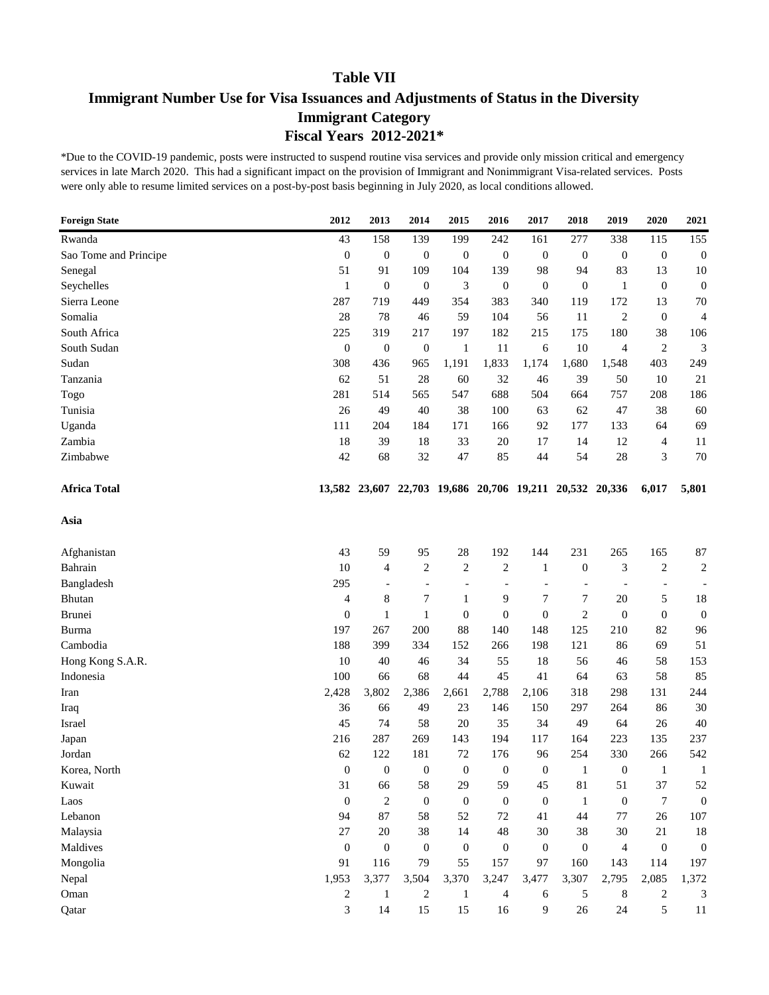# **Immigrant Number Use for Visa Issuances and Adjustments of Status in the Diversity Immigrant Category Fiscal Years 2012-2021\***

| <b>Foreign State</b>  | 2012             | 2013             | 2014                     | 2015             | 2016                                             | 2017             | 2018                     | 2019                     | 2020             | 2021             |
|-----------------------|------------------|------------------|--------------------------|------------------|--------------------------------------------------|------------------|--------------------------|--------------------------|------------------|------------------|
| Rwanda                | 43               | 158              | 139                      | 199              | 242                                              | 161              | 277                      | 338                      | 115              | 155              |
| Sao Tome and Principe | $\mathbf{0}$     | $\boldsymbol{0}$ | $\mathbf{0}$             | $\boldsymbol{0}$ | $\boldsymbol{0}$                                 | $\mathbf{0}$     | $\boldsymbol{0}$         | $\boldsymbol{0}$         | $\boldsymbol{0}$ | $\boldsymbol{0}$ |
| Senegal               | 51               | 91               | 109                      | 104              | 139                                              | 98               | 94                       | 83                       | 13               | 10               |
| Seychelles            | $\mathbf{1}$     | $\boldsymbol{0}$ | $\mathbf{0}$             | 3                | $\boldsymbol{0}$                                 | $\boldsymbol{0}$ | $\boldsymbol{0}$         | 1                        | $\boldsymbol{0}$ | $\boldsymbol{0}$ |
| Sierra Leone          | 287              | 719              | 449                      | 354              | 383                                              | 340              | 119                      | 172                      | 13               | 70               |
| Somalia               | 28               | 78               | 46                       | 59               | 104                                              | 56               | 11                       | $\overline{2}$           | $\mathbf{0}$     | $\overline{4}$   |
| South Africa          | 225              | 319              | 217                      | 197              | 182                                              | 215              | 175                      | 180                      | 38               | 106              |
| South Sudan           | $\boldsymbol{0}$ | $\boldsymbol{0}$ | $\boldsymbol{0}$         | 1                | 11                                               | 6                | 10                       | 4                        | $\overline{c}$   | 3                |
| Sudan                 | 308              | 436              | 965                      | 1,191            | 1,833                                            | 1,174            | 1,680                    | 1,548                    | 403              | 249              |
| Tanzania              | 62               | 51               | 28                       | 60               | 32                                               | 46               | 39                       | 50                       | 10               | 21               |
| Togo                  | 281              | 514              | 565                      | 547              | 688                                              | 504              | 664                      | 757                      | 208              | 186              |
| Tunisia               | 26               | 49               | 40                       | 38               | 100                                              | 63               | 62                       | 47                       | 38               | 60               |
| Uganda                | 111              | 204              | 184                      | 171              | 166                                              | 92               | 177                      | 133                      | 64               | 69               |
| Zambia                | 18               | 39               | 18                       | 33               | 20                                               | 17               | 14                       | 12                       | 4                | 11               |
| Zimbabwe              | 42               | 68               | 32                       | $47\,$           | 85                                               | 44               | 54                       | 28                       | 3                | 70               |
| <b>Africa Total</b>   | 13,582           |                  |                          |                  | 23,607 22,703 19,686 20,706 19,211 20,532 20,336 |                  |                          |                          | 6,017            | 5,801            |
| Asia                  |                  |                  |                          |                  |                                                  |                  |                          |                          |                  |                  |
| Afghanistan           | 43               | 59               | 95                       | 28               | 192                                              | 144              | 231                      | 265                      | 165              | 87               |
| Bahrain               | 10               | $\overline{4}$   | $\overline{c}$           | $\overline{c}$   | $\overline{c}$                                   | $\mathbf{1}$     | $\boldsymbol{0}$         | 3                        | $\overline{c}$   | $\overline{c}$   |
| Bangladesh            | 295              |                  | $\overline{\phantom{0}}$ | $\overline{a}$   | $\overline{a}$                                   | $\overline{a}$   | $\overline{\phantom{a}}$ | $\overline{\phantom{a}}$ |                  |                  |
| Bhutan                | 4                | 8                | 7                        | 1                | 9                                                | 7                | 7                        | 20                       | 5                | 18               |
| Brunei                | $\boldsymbol{0}$ | $\mathbf{1}$     | $\mathbf{1}$             | $\boldsymbol{0}$ | $\boldsymbol{0}$                                 | $\boldsymbol{0}$ | $\overline{c}$           | $\theta$                 | $\boldsymbol{0}$ | $\boldsymbol{0}$ |
| Burma                 | 197              | 267              | 200                      | 88               | 140                                              | 148              | 125                      | 210                      | 82               | 96               |
| Cambodia              | 188              | 399              | 334                      | 152              | 266                                              | 198              | 121                      | 86                       | 69               | 51               |
| Hong Kong S.A.R.      | 10               | 40               | 46                       | 34               | 55                                               | 18               | 56                       | 46                       | 58               | 153              |
| Indonesia             | 100              | 66               | 68                       | 44               | 45                                               | 41               | 64                       | 63                       | 58               | 85               |
| Iran                  | 2,428            | 3,802            | 2,386                    | 2,661            | 2,788                                            | 2,106            | 318                      | 298                      | 131              | 244              |
| Iraq                  | 36               | 66               | 49                       | 23               | 146                                              | 150              | 297                      | 264                      | 86               | 30               |
| Israel                | 45               | 74               | 58                       | 20               | 35                                               | 34               | 49                       | 64                       | 26               | 40               |
| Japan                 | 216              | 287              | 269                      | 143              | 194                                              | 117              | 164                      | 223                      | 135              | 237              |
| Jordan                | 62               | 122              | 181                      | 72               | 176                                              | 96               | 254                      | 330                      | 266              | 542              |
| Korea, North          | $\boldsymbol{0}$ | $\mathbf{0}$     | $\mathbf{0}$             | $\boldsymbol{0}$ | $\overline{0}$                                   | $\mathbf{0}$     | 1                        | $\theta$                 | 1                | $\mathbf{1}$     |
| Kuwait                | 31               | 66               | 58                       | 29               | 59                                               | 45               | 81                       | 51                       | 37               | 52               |
| Laos                  | $\boldsymbol{0}$ | $\mathbf{2}$     | $\boldsymbol{0}$         | $\boldsymbol{0}$ | $\theta$                                         | $\mathbf{0}$     | $\mathbf{1}$             | $\mathbf{0}$             | $\tau$           | $\mathbf{0}$     |
| Lebanon               | 94               | 87               | 58                       | 52               | 72                                               | 41               | 44                       | 77                       | 26               | 107              |
| Malaysia              | 27               | 20               | 38                       | 14               | 48                                               | 30               | 38                       | 30                       | 21               | 18               |
| Maldives              | $\mathbf{0}$     | $\mathbf{0}$     | $\boldsymbol{0}$         | $\boldsymbol{0}$ | $\boldsymbol{0}$                                 | $\mathbf{0}$     | $\boldsymbol{0}$         | $\overline{4}$           | $\overline{0}$   | $\boldsymbol{0}$ |
| Mongolia              | 91               | 116              | 79                       | 55               | 157                                              | 97               | 160                      | 143                      | 114              | 197              |
| Nepal                 | 1,953            | 3,377            | 3,504                    | 3,370            | 3,247                                            | 3,477            | 3,307                    | 2,795                    | 2,085            | 1,372            |
| Oman                  | 2                | $\mathbf{1}$     | $\overline{c}$           | $\mathbf{1}$     | 4                                                | 6                | 5                        | 8                        | 2                | 3                |
| Qatar                 | 3                | 14               | 15                       | 15               | 16                                               | 9                | 26                       | 24                       | 5                | 11               |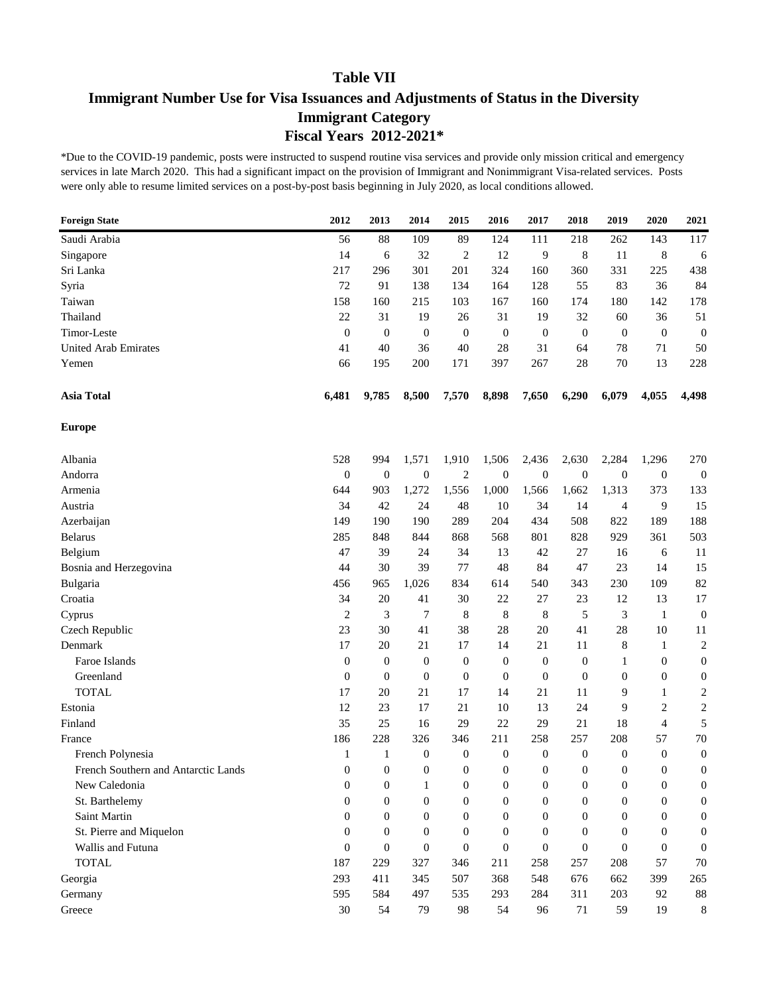# **Immigrant Number Use for Visa Issuances and Adjustments of Status in the Diversity Immigrant Category Fiscal Years 2012-2021\***

| <b>Foreign State</b>                | 2012             | 2013             | 2014             | 2015             | 2016             | 2017             | 2018             | 2019             | 2020             | 2021                    |
|-------------------------------------|------------------|------------------|------------------|------------------|------------------|------------------|------------------|------------------|------------------|-------------------------|
| Saudi Arabia                        | 56               | 88               | 109              | 89               | 124              | 111              | 218              | 262              | 143              | 117                     |
| Singapore                           | 14               | 6                | 32               | $\overline{c}$   | 12               | 9                | 8                | 11               | 8                | 6                       |
| Sri Lanka                           | 217              | 296              | 301              | 201              | 324              | 160              | 360              | 331              | 225              | 438                     |
| Syria                               | 72               | 91               | 138              | 134              | 164              | 128              | 55               | 83               | 36               | 84                      |
| Taiwan                              | 158              | 160              | 215              | 103              | 167              | 160              | 174              | 180              | 142              | 178                     |
| Thailand                            | 22               | 31               | 19               | 26               | 31               | 19               | 32               | 60               | 36               | 51                      |
| Timor-Leste                         | $\boldsymbol{0}$ | $\boldsymbol{0}$ | $\boldsymbol{0}$ | $\boldsymbol{0}$ | $\mathbf{0}$     | $\boldsymbol{0}$ | $\boldsymbol{0}$ | $\boldsymbol{0}$ | $\theta$         | $\boldsymbol{0}$        |
| <b>United Arab Emirates</b>         | 41               | 40               | 36               | 40               | 28               | 31               | 64               | 78               | 71               | 50                      |
| Yemen                               | 66               | 195              | 200              | 171              | 397              | 267              | 28               | 70               | 13               | 228                     |
| <b>Asia Total</b>                   | 6,481            | 9,785            | 8,500            | 7,570            | 8,898            | 7,650            | 6,290            | 6,079            | 4,055            | 4,498                   |
| <b>Europe</b>                       |                  |                  |                  |                  |                  |                  |                  |                  |                  |                         |
| Albania                             | 528              | 994              | 1,571            | 1,910            | 1,506            | 2,436            | 2,630            | 2,284            | 1,296            | 270                     |
| Andorra                             | $\boldsymbol{0}$ | $\boldsymbol{0}$ | $\mathbf{0}$     | $\overline{c}$   | $\mathbf{0}$     | $\boldsymbol{0}$ | $\boldsymbol{0}$ | $\boldsymbol{0}$ | $\boldsymbol{0}$ | $\boldsymbol{0}$        |
| Armenia                             | 644              | 903              | 1,272            | 1,556            | 1,000            | 1,566            | 1,662            | 1,313            | 373              | 133                     |
| Austria                             | 34               | 42               | 24               | 48               | 10               | 34               | 14               | $\overline{4}$   | 9                | 15                      |
| Azerbaijan                          | 149              | 190              | 190              | 289              | 204              | 434              | 508              | 822              | 189              | 188                     |
| <b>Belarus</b>                      | 285              | 848              | 844              | 868              | 568              | 801              | 828              | 929              | 361              | 503                     |
| Belgium                             | 47               | 39               | 24               | 34               | 13               | 42               | 27               | 16               | 6                | 11                      |
| Bosnia and Herzegovina              | 44               | 30               | 39               | 77               | 48               | 84               | 47               | 23               | 14               | 15                      |
| Bulgaria                            | 456              | 965              | 1,026            | 834              | 614              | 540              | 343              | 230              | 109              | 82                      |
| Croatia                             | 34               | 20               | 41               | 30               | 22               | 27               | 23               | 12               | 13               | 17                      |
| Cyprus                              | 2                | 3                | $\boldsymbol{7}$ | 8                | 8                | 8                | 5                | 3                | 1                | $\boldsymbol{0}$        |
| Czech Republic                      | 23               | 30               | 41               | 38               | 28               | 20               | 41               | 28               | 10               | 11                      |
| Denmark                             | 17               | 20               | 21               | 17               | 14               | 21               | 11               | 8                | 1                | $\overline{\mathbf{c}}$ |
| Faroe Islands                       | $\mathbf{0}$     | $\theta$         | $\boldsymbol{0}$ | $\boldsymbol{0}$ | $\mathbf{0}$     | $\boldsymbol{0}$ | $\boldsymbol{0}$ | 1                | $\boldsymbol{0}$ | $\boldsymbol{0}$        |
| Greenland                           | $\boldsymbol{0}$ | $\theta$         | $\boldsymbol{0}$ | $\boldsymbol{0}$ | $\mathbf{0}$     | $\boldsymbol{0}$ | $\boldsymbol{0}$ | $\mathbf{0}$     | $\boldsymbol{0}$ | $\boldsymbol{0}$        |
| <b>TOTAL</b>                        | 17               | 20               | 21               | 17               | 14               | 21               | 11               | 9                | 1                | 2                       |
| Estonia                             | 12               | 23               | 17               | 21               | 10               | 13               | 24               | 9                | 2                | $\overline{\mathbf{c}}$ |
| Finland                             | 35               | 25               | 16               | 29               | 22               | 29               | 21               | 18               | $\overline{4}$   | 5                       |
| France                              | 186              | 228              | 326              | 346              | 211              | 258              | 257              | 208              | 57               | 70                      |
| French Polynesia                    | 1                | $\mathbf{1}$     | $\boldsymbol{0}$ | $\boldsymbol{0}$ | $\boldsymbol{0}$ | $\boldsymbol{0}$ | $\boldsymbol{0}$ | $\boldsymbol{0}$ | $\boldsymbol{0}$ | $\boldsymbol{0}$        |
| French Southern and Antarctic Lands | $\overline{0}$   | $\mathbf{0}$     | $\mathbf{0}$     | $\overline{0}$   | $\mathbf{0}$     | $\mathbf{0}$     | $\boldsymbol{0}$ | $\overline{0}$   | $\theta$         | 0                       |
| New Caledonia                       | $\boldsymbol{0}$ | $\boldsymbol{0}$ | $\mathbf{1}$     | $\boldsymbol{0}$ | $\mathbf{0}$     | $\boldsymbol{0}$ | $\boldsymbol{0}$ | $\mathbf{0}$     | $\boldsymbol{0}$ | 0                       |
| St. Barthelemy                      | $\boldsymbol{0}$ | $\boldsymbol{0}$ | $\mathbf{0}$     | $\boldsymbol{0}$ | $\boldsymbol{0}$ | $\boldsymbol{0}$ | $\boldsymbol{0}$ | $\overline{0}$   | $\mathbf{0}$     | 0                       |
| Saint Martin                        | $\overline{0}$   | $\mathbf{0}$     | $\boldsymbol{0}$ | $\mathbf{0}$     | $\theta$         | $\boldsymbol{0}$ | $\boldsymbol{0}$ | $\overline{0}$   | $\mathbf{0}$     | 0                       |
| St. Pierre and Miquelon             | $\overline{0}$   | $\mathbf{0}$     | $\boldsymbol{0}$ | $\mathbf{0}$     | $\theta$         | $\boldsymbol{0}$ | $\boldsymbol{0}$ | $\overline{0}$   | $\mathbf{0}$     | 0                       |
| Wallis and Futuna                   | $\boldsymbol{0}$ | $\theta$         | $\boldsymbol{0}$ | $\boldsymbol{0}$ | $\mathbf{0}$     | $\boldsymbol{0}$ | $\boldsymbol{0}$ | $\overline{0}$   | $\theta$         | 0                       |
| <b>TOTAL</b>                        | 187              | 229              | 327              | 346              | 211              | 258              | 257              | 208              | 57               | 70                      |
| Georgia                             | 293              | 411              | 345              | 507              | 368              | 548              | 676              | 662              | 399              | 265                     |
| Germany                             | 595              | 584              | 497              | 535              | 293              | 284              | 311              | 203              | 92               | $88\,$                  |
| Greece                              | $30\,$           | 54               | 79               | 98               | 54               | 96               | $71\,$           | 59               | 19               | 8                       |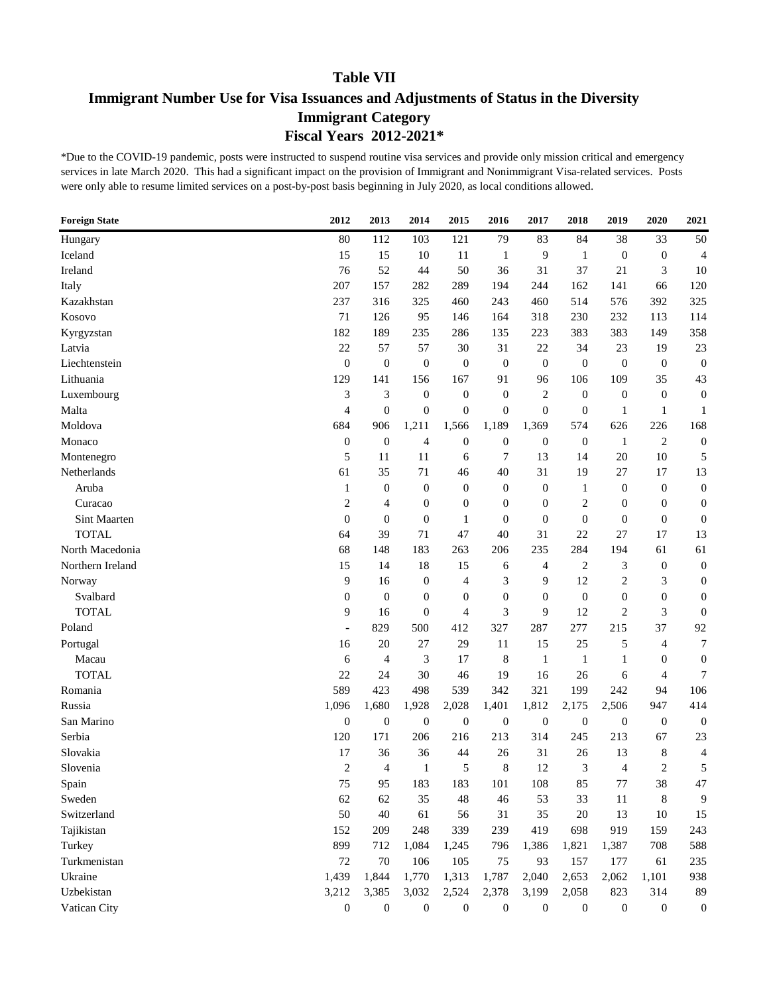# **Immigrant Number Use for Visa Issuances and Adjustments of Status in the Diversity Immigrant Category Fiscal Years 2012-2021\***

| <b>Foreign State</b> | 2012             | 2013             | 2014             | 2015             | 2016             | 2017             | 2018             | 2019             | 2020             | 2021             |
|----------------------|------------------|------------------|------------------|------------------|------------------|------------------|------------------|------------------|------------------|------------------|
| Hungary              | 80               | 112              | 103              | 121              | 79               | 83               | 84               | 38               | 33               | 50               |
| Iceland              | 15               | 15               | 10               | 11               | $\mathbf{1}$     | 9                | $\mathbf{1}$     | $\boldsymbol{0}$ | $\boldsymbol{0}$ | 4                |
| Ireland              | 76               | 52               | 44               | 50               | 36               | 31               | 37               | 21               | 3                | 10               |
| Italy                | 207              | 157              | 282              | 289              | 194              | 244              | 162              | 141              | 66               | 120              |
| Kazakhstan           | 237              | 316              | 325              | 460              | 243              | 460              | 514              | 576              | 392              | 325              |
| Kosovo               | 71               | 126              | 95               | 146              | 164              | 318              | 230              | 232              | 113              | 114              |
| Kyrgyzstan           | 182              | 189              | 235              | 286              | 135              | 223              | 383              | 383              | 149              | 358              |
| Latvia               | 22               | 57               | 57               | 30               | 31               | 22               | 34               | 23               | 19               | 23               |
| Liechtenstein        | $\boldsymbol{0}$ | $\boldsymbol{0}$ | $\boldsymbol{0}$ | $\mathbf{0}$     | $\mathbf{0}$     | $\boldsymbol{0}$ | $\boldsymbol{0}$ | $\theta$         | $\mathbf{0}$     | $\boldsymbol{0}$ |
| Lithuania            | 129              | 141              | 156              | 167              | 91               | 96               | 106              | 109              | 35               | 43               |
| Luxembourg           | 3                | 3                | $\boldsymbol{0}$ | $\mathbf{0}$     | $\boldsymbol{0}$ | $\overline{2}$   | $\mathbf{0}$     | $\boldsymbol{0}$ | $\theta$         | $\boldsymbol{0}$ |
| Malta                | 4                | $\theta$         | $\mathbf{0}$     | $\mathbf{0}$     | $\boldsymbol{0}$ | $\mathbf{0}$     | $\boldsymbol{0}$ | 1                | $\mathbf{1}$     | 1                |
| Moldova              | 684              | 906              | 1,211            | 1,566            | 1,189            | 1,369            | 574              | 626              | 226              | 168              |
| Monaco               | $\boldsymbol{0}$ | $\boldsymbol{0}$ | 4                | $\mathbf{0}$     | $\boldsymbol{0}$ | $\boldsymbol{0}$ | $\boldsymbol{0}$ | $\mathbf{1}$     | $\overline{2}$   | $\boldsymbol{0}$ |
| Montenegro           | 5                | 11               | 11               | 6                | 7                | 13               | 14               | 20               | 10               | 5                |
| Netherlands          | 61               | 35               | 71               | 46               | 40               | 31               | 19               | 27               | 17               | 13               |
| Aruba                | $\mathbf{1}$     | $\boldsymbol{0}$ | $\boldsymbol{0}$ | $\mathbf{0}$     | $\mathbf{0}$     | $\boldsymbol{0}$ | 1                | $\mathbf{0}$     | $\boldsymbol{0}$ | $\boldsymbol{0}$ |
| Curacao              | $\overline{2}$   | 4                | $\boldsymbol{0}$ | $\mathbf{0}$     | $\overline{0}$   | $\boldsymbol{0}$ | $\overline{2}$   | $\overline{0}$   | $\boldsymbol{0}$ | $\boldsymbol{0}$ |
| Sint Maarten         | $\overline{0}$   | $\overline{0}$   | $\boldsymbol{0}$ | $\mathbf{1}$     | $\overline{0}$   | $\boldsymbol{0}$ | $\mathbf{0}$     | $\overline{0}$   | $\boldsymbol{0}$ | $\boldsymbol{0}$ |
| <b>TOTAL</b>         | 64               | 39               | 71               | 47               | 40               | 31               | 22               | 27               | 17               | 13               |
| North Macedonia      | 68               | 148              | 183              | 263              | 206              | 235              | 284              | 194              | 61               | 61               |
| Northern Ireland     | 15               | 14               | 18               | 15               | 6                | 4                | $\overline{c}$   | 3                | $\boldsymbol{0}$ | $\boldsymbol{0}$ |
| Norway               | 9                | 16               | $\boldsymbol{0}$ | 4                | 3                | 9                | 12               | $\overline{c}$   | 3                | $\boldsymbol{0}$ |
| Svalbard             | $\boldsymbol{0}$ | $\boldsymbol{0}$ | $\boldsymbol{0}$ | $\boldsymbol{0}$ | $\mathbf{0}$     | $\boldsymbol{0}$ | $\boldsymbol{0}$ | $\boldsymbol{0}$ | $\boldsymbol{0}$ | $\boldsymbol{0}$ |
| <b>TOTAL</b>         | 9                | 16               | $\boldsymbol{0}$ | $\overline{4}$   | 3                | 9                | 12               | $\overline{2}$   | 3                | $\boldsymbol{0}$ |
| Poland               | $\blacksquare$   | 829              | 500              | 412              | 327              | 287              | 277              | 215              | 37               | 92               |
| Portugal             | 16               | 20               | 27               | 29               | 11               | 15               | 25               | 5                | $\overline{4}$   | 7                |
| Macau                | 6                | 4                | 3                | 17               | 8                | $\mathbf{1}$     | $\mathbf{1}$     | $\mathbf{1}$     | $\boldsymbol{0}$ | $\boldsymbol{0}$ |
| <b>TOTAL</b>         | 22               | 24               | 30               | 46               | 19               | 16               | 26               | 6                | $\overline{4}$   | 7                |
| Romania              | 589              | 423              | 498              | 539              | 342              | 321              | 199              | 242              | 94               | 106              |
| Russia               | 1,096            | 1,680            | 1,928            | 2,028            | 1,401            | 1,812            | 2,175            | 2,506            | 947              | 414              |
| San Marino           | $\boldsymbol{0}$ | $\boldsymbol{0}$ | $\boldsymbol{0}$ | $\mathbf{0}$     | $\boldsymbol{0}$ | $\boldsymbol{0}$ | $\boldsymbol{0}$ | $\mathbf{0}$     | $\mathbf{0}$     | $\boldsymbol{0}$ |
| Serbia               | 120              | 171              | 206              | 216              | 213              | 314              | 245              | 213              | 67               | 23               |
| Slovakia             | 17               | 36               | 36               | 44               | 26               | 31               | 26               | 13               | 8                | 4                |
| Slovenia             | $\overline{c}$   | $\overline{4}$   | 1                | 5                | 8                | 12               | 3                | $\overline{4}$   | $\overline{2}$   | 5                |
| Spain                | 75               | 95               | 183              | 183              | 101              | 108              | 85               | 77               | 38               | 47               |
| Sweden               | 62               | 62               | 35               | $\sqrt{48}$      | 46               | 53               | 33               | $11\,$           | $\,8\,$          | 9                |
| Switzerland          | 50               | $40\,$           | 61               | 56               | 31               | 35               | $20\,$           | 13               | 10               | 15               |
| Tajikistan           | 152              | 209              | 248              | 339              | 239              | 419              | 698              | 919              | 159              | 243              |
| Turkey               | 899              | 712              | 1,084            | 1,245            | 796              | 1,386            | 1,821            | 1,387            | 708              | 588              |
| Turkmenistan         | 72               | 70               | 106              | 105              | 75               | 93               | 157              | 177              | 61               | 235              |
| Ukraine              | 1,439            | 1,844            | 1,770            | 1,313            | 1,787            | 2,040            | 2,653            | 2,062            | 1,101            | 938              |
| Uzbekistan           | 3,212            | 3,385            | 3,032            | 2,524            | 2,378            | 3,199            | 2,058            | 823              | 314              | 89               |
| Vatican City         | $\boldsymbol{0}$ | $\boldsymbol{0}$ | $\boldsymbol{0}$ | $\boldsymbol{0}$ | $\boldsymbol{0}$ | $\boldsymbol{0}$ | $\boldsymbol{0}$ | $\boldsymbol{0}$ | $\boldsymbol{0}$ | $\boldsymbol{0}$ |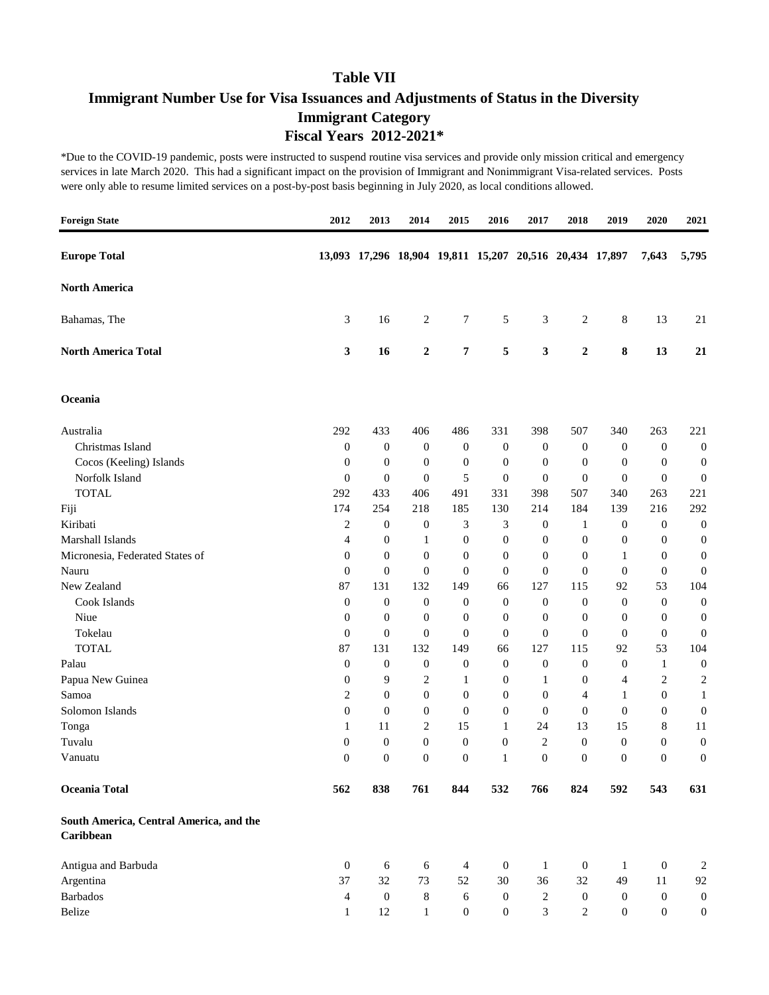# **Immigrant Number Use for Visa Issuances and Adjustments of Status in the Diversity Immigrant Category Fiscal Years 2012-2021\***

| <b>Foreign State</b>                                 | 2012             | 2013                                                    | 2014             | 2015             | 2016             | 2017             | 2018             | 2019             | 2020             | 2021             |
|------------------------------------------------------|------------------|---------------------------------------------------------|------------------|------------------|------------------|------------------|------------------|------------------|------------------|------------------|
| <b>Europe Total</b>                                  |                  | 13,093 17,296 18,904 19,811 15,207 20,516 20,434 17,897 |                  |                  |                  |                  |                  |                  | 7,643            | 5,795            |
| <b>North America</b>                                 |                  |                                                         |                  |                  |                  |                  |                  |                  |                  |                  |
| Bahamas, The                                         | 3                | 16                                                      | $\overline{c}$   | 7                | 5                | 3                | $\overline{c}$   | 8                | 13               | 21               |
| <b>North America Total</b>                           | 3                | 16                                                      | $\boldsymbol{2}$ | 7                | 5                | $\mathbf{3}$     | $\overline{2}$   | 8                | 13               | 21               |
| Oceania                                              |                  |                                                         |                  |                  |                  |                  |                  |                  |                  |                  |
| Australia                                            | 292              | 433                                                     | 406              | 486              | 331              | 398              | 507              | 340              | 263              | 221              |
| Christmas Island                                     | $\boldsymbol{0}$ | $\boldsymbol{0}$                                        | $\mathbf{0}$     | $\boldsymbol{0}$ | $\boldsymbol{0}$ | $\mathbf{0}$     | $\boldsymbol{0}$ | $\boldsymbol{0}$ | $\boldsymbol{0}$ | $\boldsymbol{0}$ |
| Cocos (Keeling) Islands                              | $\boldsymbol{0}$ | $\boldsymbol{0}$                                        | $\mathbf{0}$     | $\boldsymbol{0}$ | $\boldsymbol{0}$ | $\mathbf{0}$     | $\boldsymbol{0}$ | $\theta$         | $\boldsymbol{0}$ | $\boldsymbol{0}$ |
| Norfolk Island                                       | $\boldsymbol{0}$ | $\boldsymbol{0}$                                        | $\mathbf{0}$     | 5                | $\boldsymbol{0}$ | $\boldsymbol{0}$ | $\boldsymbol{0}$ | $\boldsymbol{0}$ | $\boldsymbol{0}$ | $\boldsymbol{0}$ |
| <b>TOTAL</b>                                         | 292              | 433                                                     | 406              | 491              | 331              | 398              | 507              | 340              | 263              | 221              |
| Fiji                                                 | 174              | 254                                                     | 218              | 185              | 130              | 214              | 184              | 139              | 216              | 292              |
| Kiribati                                             | 2                | $\boldsymbol{0}$                                        | $\boldsymbol{0}$ | 3                | 3                | 0                | 1                | $\boldsymbol{0}$ | $\boldsymbol{0}$ | $\boldsymbol{0}$ |
| Marshall Islands                                     | 4                | $\boldsymbol{0}$                                        | $\mathbf{1}$     | $\boldsymbol{0}$ | $\boldsymbol{0}$ | $\boldsymbol{0}$ | $\boldsymbol{0}$ | $\boldsymbol{0}$ | $\boldsymbol{0}$ | $\boldsymbol{0}$ |
| Micronesia, Federated States of                      | $\boldsymbol{0}$ | $\boldsymbol{0}$                                        | $\mathbf{0}$     | $\boldsymbol{0}$ | $\boldsymbol{0}$ | $\boldsymbol{0}$ | $\boldsymbol{0}$ | 1                | $\boldsymbol{0}$ | $\boldsymbol{0}$ |
| Nauru                                                | $\mathbf{0}$     | $\boldsymbol{0}$                                        | $\mathbf{0}$     | $\boldsymbol{0}$ | $\boldsymbol{0}$ | $\boldsymbol{0}$ | $\boldsymbol{0}$ | $\boldsymbol{0}$ | $\boldsymbol{0}$ | $\boldsymbol{0}$ |
| New Zealand                                          | 87               | 131                                                     | 132              | 149              | 66               | 127              | 115              | 92               | 53               | 104              |
| Cook Islands                                         | $\boldsymbol{0}$ | $\boldsymbol{0}$                                        | $\boldsymbol{0}$ | $\boldsymbol{0}$ | $\boldsymbol{0}$ | $\boldsymbol{0}$ | $\boldsymbol{0}$ | $\boldsymbol{0}$ | $\boldsymbol{0}$ | $\boldsymbol{0}$ |
| Niue                                                 | $\boldsymbol{0}$ | $\boldsymbol{0}$                                        | $\boldsymbol{0}$ | $\boldsymbol{0}$ | $\boldsymbol{0}$ | $\boldsymbol{0}$ | $\boldsymbol{0}$ | $\boldsymbol{0}$ | $\mathbf{0}$     | $\boldsymbol{0}$ |
| Tokelau                                              | $\boldsymbol{0}$ | $\theta$                                                | $\mathbf{0}$     | $\boldsymbol{0}$ | $\boldsymbol{0}$ | $\boldsymbol{0}$ | $\boldsymbol{0}$ | $\theta$         | $\boldsymbol{0}$ | $\boldsymbol{0}$ |
| <b>TOTAL</b>                                         | 87               | 131                                                     | 132              | 149              | 66               | 127              | 115              | 92               | 53               | 104              |
| Palau                                                | $\boldsymbol{0}$ | $\boldsymbol{0}$                                        | $\boldsymbol{0}$ | $\boldsymbol{0}$ | $\mathbf{0}$     | $\mathbf{0}$     | $\boldsymbol{0}$ | $\boldsymbol{0}$ | 1                | $\boldsymbol{0}$ |
| Papua New Guinea                                     | $\boldsymbol{0}$ | 9                                                       | 2                | 1                | $\boldsymbol{0}$ | 1                | $\mathbf{0}$     | 4                | 2                | $\boldsymbol{2}$ |
| Samoa                                                | $\overline{2}$   | $\boldsymbol{0}$                                        | $\mathbf{0}$     | $\boldsymbol{0}$ | $\mathbf{0}$     | $\boldsymbol{0}$ | 4                | 1                | $\boldsymbol{0}$ | $\mathbf{1}$     |
| Solomon Islands                                      | $\overline{0}$   | $\boldsymbol{0}$                                        | $\boldsymbol{0}$ | $\boldsymbol{0}$ | $\boldsymbol{0}$ | $\boldsymbol{0}$ | $\mathbf{0}$     | $\theta$         | $\boldsymbol{0}$ | $\boldsymbol{0}$ |
| Tonga                                                | 1                | 11                                                      | 2                | 15               | $\mathbf{1}$     | 24               | 13               | 15               | 8                | 11               |
| Tuvalu                                               | $\boldsymbol{0}$ | $\boldsymbol{0}$                                        | $\boldsymbol{0}$ | $\boldsymbol{0}$ | $\boldsymbol{0}$ | 2                | $\boldsymbol{0}$ | $\boldsymbol{0}$ | $\boldsymbol{0}$ | $\boldsymbol{0}$ |
| Vanuatu                                              | $\overline{0}$   | $\overline{0}$                                          | $\boldsymbol{0}$ | $\theta$         | 1                | $\mathbf{0}$     | $\theta$         | $\mathbf{0}$     | $\theta$         | $\boldsymbol{0}$ |
| Oceania Total                                        | 562              | 838                                                     | 761              | 844              | 532              | 766              | 824              | 592              | 543              | 631              |
| South America, Central America, and the<br>Caribbean |                  |                                                         |                  |                  |                  |                  |                  |                  |                  |                  |
| Antigua and Barbuda                                  | $\boldsymbol{0}$ | 6                                                       | 6                | $\overline{4}$   | $\boldsymbol{0}$ | $\mathbf{1}$     | $\boldsymbol{0}$ | $\mathbf{1}$     | $\boldsymbol{0}$ | $\overline{c}$   |
| Argentina                                            | 37               | 32                                                      | 73               | 52               | 30               | 36               | $32\,$           | 49               | $11\,$           | 92               |
| <b>Barbados</b>                                      | 4                | $\boldsymbol{0}$                                        | $\,8\,$          | $\sqrt{6}$       | $\boldsymbol{0}$ | $\boldsymbol{2}$ | $\boldsymbol{0}$ | $\boldsymbol{0}$ | $\boldsymbol{0}$ | $\boldsymbol{0}$ |
| Belize                                               | $\mathbf{1}$     | 12                                                      | $\mathbf{1}$     | $\boldsymbol{0}$ | $\boldsymbol{0}$ | 3                | $\sqrt{2}$       | $\boldsymbol{0}$ | $\boldsymbol{0}$ | $\boldsymbol{0}$ |